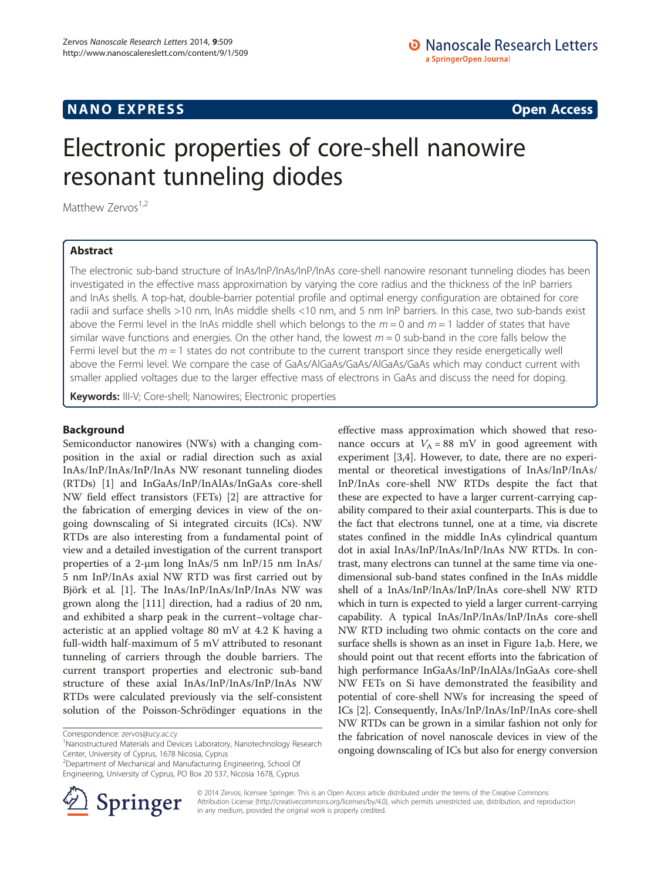# **NANO EXPRESS** Open Access and the set of the set of the set of the set of the set of the set of the set of the set of the set of the set of the set of the set of the set of the set of the set of the set of the set of the

# Electronic properties of core-shell nanowire resonant tunneling diodes

Matthew Zervos<sup>1,2</sup>

# Abstract

The electronic sub-band structure of InAs/InP/InAs/InP/InAs core-shell nanowire resonant tunneling diodes has been investigated in the effective mass approximation by varying the core radius and the thickness of the InP barriers and InAs shells. A top-hat, double-barrier potential profile and optimal energy configuration are obtained for core radii and surface shells >10 nm, InAs middle shells <10 nm, and 5 nm InP barriers. In this case, two sub-bands exist above the Fermi level in the InAs middle shell which belongs to the  $m = 0$  and  $m = 1$  ladder of states that have similar wave functions and energies. On the other hand, the lowest  $m = 0$  sub-band in the core falls below the Fermi level but the  $m = 1$  states do not contribute to the current transport since they reside energetically well above the Fermi level. We compare the case of GaAs/AlGaAs/GaAs/AlGaAs/GaAs which may conduct current with smaller applied voltages due to the larger effective mass of electrons in GaAs and discuss the need for doping.

Keywords: III-V; Core-shell; Nanowires; Electronic properties

#### Background

Semiconductor nanowires (NWs) with a changing composition in the axial or radial direction such as axial InAs/InP/InAs/InP/InAs NW resonant tunneling diodes (RTDs) [[1\]](#page-7-0) and InGaAs/InP/InAlAs/InGaAs core-shell NW field effect transistors (FETs) [[2](#page-7-0)] are attractive for the fabrication of emerging devices in view of the ongoing downscaling of Si integrated circuits (ICs). NW RTDs are also interesting from a fundamental point of view and a detailed investigation of the current transport properties of a 2-μm long InAs/5 nm InP/15 nm InAs/ 5 nm InP/InAs axial NW RTD was first carried out by Björk et al. [\[1](#page-7-0)]. The InAs/InP/InAs/InP/InAs NW was grown along the [111] direction, had a radius of 20 nm, and exhibited a sharp peak in the current–voltage characteristic at an applied voltage 80 mV at 4.2 K having a full-width half-maximum of 5 mV attributed to resonant tunneling of carriers through the double barriers. The current transport properties and electronic sub-band structure of these axial InAs/InP/InAs/InP/InAs NW RTDs were calculated previously via the self-consistent solution of the Poisson-Schrödinger equations in the

Correspondence: [zervos@ucy.ac.cy](mailto:zervos@ucy.ac.cy) <sup>1</sup>

Engineering, University of Cyprus, PO Box 20 537, Nicosia 1678, Cyprus



effective mass approximation which showed that resonance occurs at  $V_A = 88$  mV in good agreement with experiment [[3,4\]](#page-7-0). However, to date, there are no experimental or theoretical investigations of InAs/InP/InAs/ InP/InAs core-shell NW RTDs despite the fact that these are expected to have a larger current-carrying capability compared to their axial counterparts. This is due to the fact that electrons tunnel, one at a time, via discrete states confined in the middle InAs cylindrical quantum dot in axial InAs/InP/InAs/InP/InAs NW RTDs. In contrast, many electrons can tunnel at the same time via onedimensional sub-band states confined in the InAs middle shell of a InAs/InP/InAs/InP/InAs core-shell NW RTD which in turn is expected to yield a larger current-carrying capability. A typical InAs/InP/InAs/InP/InAs core-shell NW RTD including two ohmic contacts on the core and surface shells is shown as an inset in Figure [1](#page-1-0)a,b. Here, we should point out that recent efforts into the fabrication of high performance InGaAs/InP/InAlAs/InGaAs core-shell NW FETs on Si have demonstrated the feasibility and potential of core-shell NWs for increasing the speed of ICs [\[2](#page-7-0)]. Consequently, InAs/InP/InAs/InP/InAs core-shell NW RTDs can be grown in a similar fashion not only for the fabrication of novel nanoscale devices in view of the ongoing downscaling of ICs but also for energy conversion

© 2014 Zervos; licensee Springer. This is an Open Access article distributed under the terms of the Creative Commons Attribution License [\(http://creativecommons.org/licenses/by/4.0\)](http://creativecommons.org/licenses/by/4.0), which permits unrestricted use, distribution, and reproduction in any medium, provided the original work is properly credited.

<sup>&</sup>lt;sup>1</sup>Nanostructured Materials and Devices Laboratory, Nanotechnology Research Center, University of Cyprus, 1678 Nicosia, Cyprus

<sup>2</sup> Department of Mechanical and Manufacturing Engineering, School Of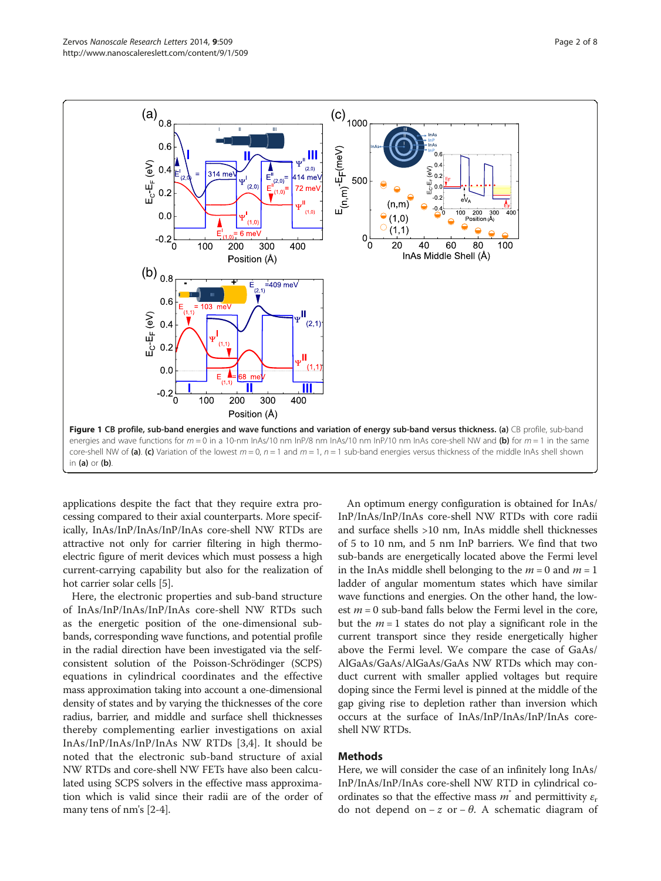<span id="page-1-0"></span>

applications despite the fact that they require extra processing compared to their axial counterparts. More specifically, InAs/InP/InAs/InP/InAs core-shell NW RTDs are attractive not only for carrier filtering in high thermoelectric figure of merit devices which must possess a high current-carrying capability but also for the realization of hot carrier solar cells [\[5](#page-7-0)].

Here, the electronic properties and sub-band structure of InAs/InP/InAs/InP/InAs core-shell NW RTDs such as the energetic position of the one-dimensional subbands, corresponding wave functions, and potential profile in the radial direction have been investigated via the selfconsistent solution of the Poisson-Schrödinger (SCPS) equations in cylindrical coordinates and the effective mass approximation taking into account a one-dimensional density of states and by varying the thicknesses of the core radius, barrier, and middle and surface shell thicknesses thereby complementing earlier investigations on axial InAs/InP/InAs/InP/InAs NW RTDs [[3,4\]](#page-7-0). It should be noted that the electronic sub-band structure of axial NW RTDs and core-shell NW FETs have also been calculated using SCPS solvers in the effective mass approximation which is valid since their radii are of the order of many tens of nm's [\[2](#page-7-0)-[4](#page-7-0)].

An optimum energy configuration is obtained for InAs/ InP/InAs/InP/InAs core-shell NW RTDs with core radii and surface shells >10 nm, InAs middle shell thicknesses of 5 to 10 nm, and 5 nm InP barriers. We find that two sub-bands are energetically located above the Fermi level in the InAs middle shell belonging to the  $m = 0$  and  $m = 1$ ladder of angular momentum states which have similar wave functions and energies. On the other hand, the lowest  $m = 0$  sub-band falls below the Fermi level in the core, but the  $m = 1$  states do not play a significant role in the current transport since they reside energetically higher above the Fermi level. We compare the case of GaAs/ AlGaAs/GaAs/AlGaAs/GaAs NW RTDs which may conduct current with smaller applied voltages but require doping since the Fermi level is pinned at the middle of the gap giving rise to depletion rather than inversion which occurs at the surface of InAs/InP/InAs/InP/InAs coreshell NW RTDs.

### Methods

Here, we will consider the case of an infinitely long InAs/ InP/InAs/InP/InAs core-shell NW RTD in cylindrical coordinates so that the effective mass  $m^{\dagger}$  and permittivity  $\varepsilon_r$ do not depend on − z or −  $\theta$ . A schematic diagram of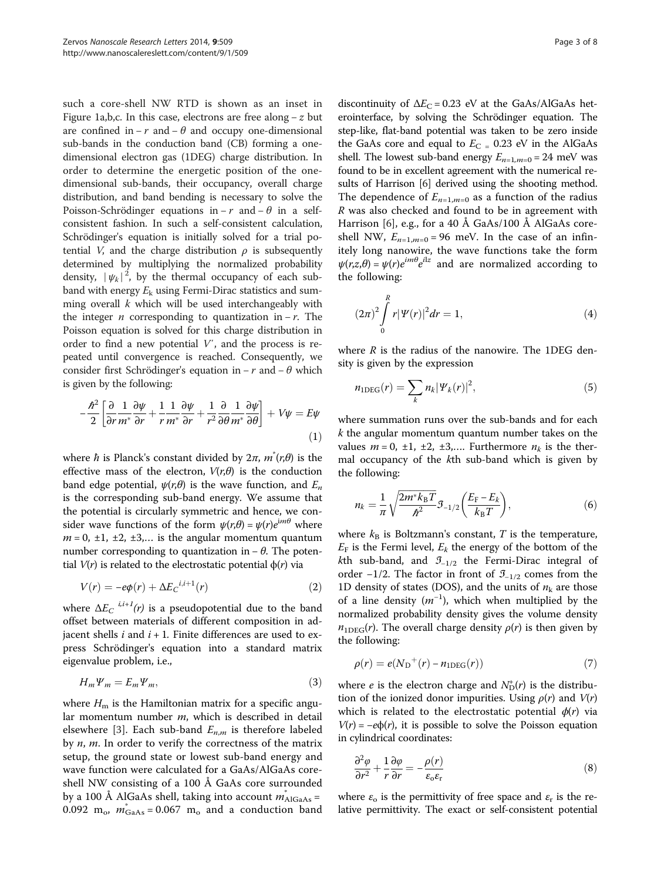such a core-shell NW RTD is shown as an inset in Figure [1](#page-1-0)a,b,c. In this case, electrons are free along  $-z$  but are confined in  $-r$  and  $-\theta$  and occupy one-dimensional sub-bands in the conduction band (CB) forming a onedimensional electron gas (1DEG) charge distribution. In order to determine the energetic position of the onedimensional sub-bands, their occupancy, overall charge distribution, and band bending is necessary to solve the Poisson-Schrödinger equations in  $-r$  and  $-\theta$  in a selfconsistent fashion. In such a self-consistent calculation, Schrödinger's equation is initially solved for a trial potential V, and the charge distribution  $\rho$  is subsequently determined by multiplying the normalized probability density,  $|\psi_k|^2$ , by the thermal occupancy of each subband with energy  $E_k$  using Fermi-Dirac statistics and summing overall  $k$  which will be used interchangeably with the integer *n* corresponding to quantization in  $-r$ . The Poisson equation is solved for this charge distribution in order to find a new potential  $V'$ , and the process is repeated until convergence is reached. Consequently, we consider first Schrödinger's equation in  $-r$  and  $-\theta$  which is given by the following:

$$
-\frac{\hbar^2}{2}\left[\frac{\partial}{\partial r}\frac{1}{m^*}\frac{\partial \psi}{\partial r} + \frac{1}{r}\frac{1}{m^*}\frac{\partial \psi}{\partial r} + \frac{1}{r^2}\frac{\partial}{\partial \theta}\frac{1}{m^*}\frac{\partial \psi}{\partial \theta}\right] + V\psi = E\psi
$$
\n(1)

where  $\hbar$  is Planck's constant divided by  $2\pi$ ,  $m^*(r,\theta)$  is the effective mass of the electron,  $V(r,\theta)$  is the conduction band edge potential,  $\psi(r,\theta)$  is the wave function, and  $E_n$ is the corresponding sub-band energy. We assume that the potential is circularly symmetric and hence, we consider wave functions of the form  $\psi(r,\theta) = \psi(r)e^{im\theta}$  where  $m = 0, \pm 1, \pm 2, \pm 3,...$  is the angular momentum quantum number corresponding to quantization in  $-\theta$ . The potential  $V(r)$  is related to the electrostatic potential  $\phi(r)$  via

$$
V(r) = -e\phi(r) + \Delta E_c^{i,i+1}(r)
$$
 (2)

where  $\Delta E_C^{i,i+1}(r)$  is a pseudopotential due to the band offset between materials of different composition in adjacent shells  $i$  and  $i + 1$ . Finite differences are used to express Schrödinger's equation into a standard matrix eigenvalue problem, i.e.,

$$
H_m \Psi_m = E_m \Psi_m,\tag{3}
$$

where  $H<sub>m</sub>$  is the Hamiltonian matrix for a specific angular momentum number  $m$ , which is described in detail elsewhere [[3\]](#page-7-0). Each sub-band  $E_{n,m}$  is therefore labeled by  $n$ ,  $m$ . In order to verify the correctness of the matrix setup, the ground state or lowest sub-band energy and wave function were calculated for a GaAs/AlGaAs coreshell NW consisting of a 100 Å GaAs core surrounded by a 100 Å AlGaAs shell, taking into account  $\mathring{m_{\rm AlGaAs}}^*$  = 0.092  $m_o$ ,  $m_{GaAs}^* = 0.067$   $m_o$  and a conduction band

discontinuity of  $\Delta E_C = 0.23$  eV at the GaAs/AlGaAs heterointerface, by solving the Schrödinger equation. The step-like, flat-band potential was taken to be zero inside the GaAs core and equal to  $E_C = 0.23$  eV in the AlGaAs shell. The lowest sub-band energy  $E_{n=1,m=0} = 24$  meV was found to be in excellent agreement with the numerical results of Harrison [[6\]](#page-7-0) derived using the shooting method. The dependence of  $E_{n=1,m=0}$  as a function of the radius  $R$  was also checked and found to be in agreement with Harrison [[6](#page-7-0)], e.g., for a 40 Å GaAs/100 Å AlGaAs coreshell NW,  $E_{n=1,m=0}$  = 96 meV. In the case of an infinitely long nanowire, the wave functions take the form  $\psi(r,z,\theta) = \psi(r)e^{im\theta}e^{i\theta}$  and are normalized according to the following:

$$
(2\pi)^2 \int_{0}^{R} r |\Psi(r)|^2 dr = 1,
$$
 (4)

where  $R$  is the radius of the nanowire. The 1DEG density is given by the expression

$$
n_{\text{1DEG}}(r) = \sum_{k} n_k |\Psi_k(r)|^2, \tag{5}
$$

where summation runs over the sub-bands and for each k the angular momentum quantum number takes on the values  $m = 0, \pm 1, \pm 2, \pm 3,...$  Furthermore  $n_k$  is the thermal occupancy of the kth sub-band which is given by the following:

$$
n_k = \frac{1}{\pi} \sqrt{\frac{2m^* k_B T}{\hbar^2}} \mathcal{I}_{-1/2} \left( \frac{E_{\rm F} - E_k}{k_B T} \right),\tag{6}
$$

where  $k_B$  is Boltzmann's constant, T is the temperature,  $E<sub>F</sub>$  is the Fermi level,  $E<sub>k</sub>$  the energy of the bottom of the kth sub-band, and  $\mathcal{I}_{-1/2}$  the Fermi-Dirac integral of order −1/2. The factor in front of  $\mathcal{I}_{-1/2}$  comes from the 1D density of states (DOS), and the units of  $n_k$  are those of a line density  $(m^{-1})$ , which when multiplied by the normalized probability density gives the volume density  $n_{1DEG}(r)$ . The overall charge density  $\rho(r)$  is then given by the following:

$$
\rho(r) = e(N_{D}^{+}(r) - n_{1DEG}(r))
$$
\n(7)

where *e* is the electron charge and  $N_{\text{D}}^{+}(r)$  is the distribution of the ionized donor impurities. Using  $\rho(r)$  and  $V(r)$ which is related to the electrostatic potential  $\phi(r)$  via  $V(r) = -e\phi(r)$ , it is possible to solve the Poisson equation in cylindrical coordinates:

$$
\frac{\partial^2 \varphi}{\partial r^2} + \frac{1}{r} \frac{\partial \varphi}{\partial r} = -\frac{\rho(r)}{\varepsilon_0 \varepsilon_r} \tag{8}
$$

where  $\varepsilon_0$  is the permittivity of free space and  $\varepsilon_r$  is the relative permittivity. The exact or self-consistent potential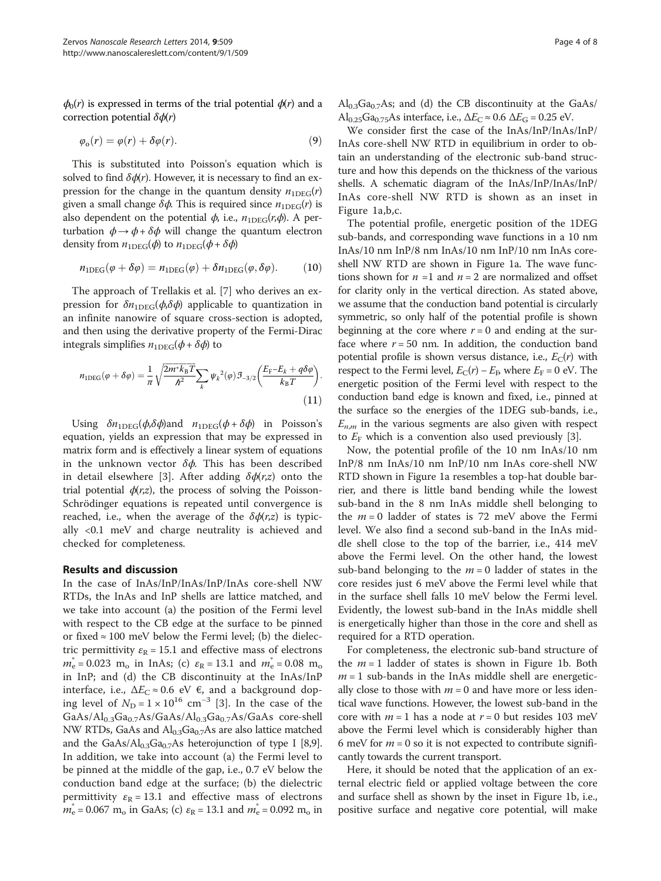$\phi_0(r)$  is expressed in terms of the trial potential  $\phi(r)$  and a correction potential  $\delta \phi(r)$ 

$$
\varphi_{o}(r) = \varphi(r) + \delta\varphi(r). \tag{9}
$$

This is substituted into Poisson's equation which is solved to find  $\delta\phi(r)$ . However, it is necessary to find an expression for the change in the quantum density  $n_{1DEG}(r)$ given a small change  $\delta \phi$ . This is required since  $n_{1DEG}(r)$  is also dependent on the potential  $\phi$ , i.e.,  $n_{1DEG}(r,\phi)$ . A perturbation  $\phi \rightarrow \phi + \delta \phi$  will change the quantum electron density from  $n_{1DEG}(\phi)$  to  $n_{1DEG}(\phi + \delta \phi)$ 

$$
n_{\text{1DEG}}(\varphi + \delta \varphi) = n_{\text{1DEG}}(\varphi) + \delta n_{\text{1DEG}}(\varphi, \delta \varphi). \tag{10}
$$

The approach of Trellakis et al. [\[7](#page-7-0)] who derives an expression for  $\delta n_{1DEG}(\phi, \delta \phi)$  applicable to quantization in an infinite nanowire of square cross-section is adopted, and then using the derivative property of the Fermi-Dirac integrals simplifies  $n_{1DEG}(\phi + \delta \phi)$  to

$$
n_{\text{1DEG}}(\varphi + \delta\varphi) = \frac{1}{\pi} \sqrt{\frac{2m^* k_B T}{\hbar^2}} \sum_{k} \psi_k^2(\varphi) \mathcal{I}_{-3/2} \left( \frac{E_F - E_k + q\delta\varphi}{k_B T} \right).
$$
\n(11)

Using  $\delta n_{1DEG}(\phi, \delta \phi)$  and  $n_{1DEG}(\phi + \delta \phi)$  in Poisson's equation, yields an expression that may be expressed in matrix form and is effectively a linear system of equations in the unknown vector  $\delta\phi$ . This has been described in detail elsewhere [\[3](#page-7-0)]. After adding  $\delta \phi(r,z)$  onto the trial potential  $\phi(r,z)$ , the process of solving the Poisson-Schrödinger equations is repeated until convergence is reached, i.e., when the average of the  $\delta\phi(r,z)$  is typically <0.1 meV and charge neutrality is achieved and checked for completeness.

#### Results and discussion

In the case of InAs/InP/InAs/InP/InAs core-shell NW RTDs, the InAs and InP shells are lattice matched, and we take into account (a) the position of the Fermi level with respect to the CB edge at the surface to be pinned or fixed  $\approx 100$  meV below the Fermi level; (b) the dielectric permittivity  $\varepsilon_R = 15.1$  and effective mass of electrons  $m_e^* = 0.023$  m<sub>o</sub> in InAs; (c)  $\varepsilon_R = 13.1$  and  $m_e^* = 0.08$  m<sub>o</sub> in InP; and (d) the CB discontinuity at the InAs/InP interface, i.e.,  $\Delta E_C \approx 0.6$  eV  $\epsilon$ , and a background doping level of  $N_D = 1 \times 10^{16}$  cm<sup>-3</sup> [\[3](#page-7-0)]. In the case of the  $GaAs/Al_{0.3}Ga_{0.7}As/GaAs/Al_{0.3}Ga_{0.7}As/GaAs$  core-shell NW RTDs, GaAs and  $\text{Al}_{0.3}$ Ga<sub>0.7</sub>As are also lattice matched and the GaAs/Al<sub>0.3</sub>Ga<sub>0.7</sub>As heterojunction of type I [[8,9](#page-7-0)]. In addition, we take into account (a) the Fermi level to be pinned at the middle of the gap, i.e., 0.7 eV below the conduction band edge at the surface; (b) the dielectric permittivity  $\varepsilon_R = 13.1$  and effective mass of electrons  $m_{\rm e}^* = 0.067$  m<sub>o</sub> in GaAs; (c)  $\varepsilon_{\rm R} = 13.1$  and  $m_{\rm e}^* = 0.092$  m<sub>o</sub> in

 $Al<sub>0.3</sub>Ga<sub>0.7</sub>As$ ; and (d) the CB discontinuity at the GaAs/  $\text{Al}_{0.25}\text{Ga}_{0.75}\text{As}$  interface, i.e.,  $\Delta E_C \approx 0.6 \Delta E_G = 0.25 \text{ eV}$ .

We consider first the case of the InAs/InP/InAs/InP/ InAs core-shell NW RTD in equilibrium in order to obtain an understanding of the electronic sub-band structure and how this depends on the thickness of the various shells. A schematic diagram of the InAs/InP/InAs/InP/ InAs core-shell NW RTD is shown as an inset in Figure [1a](#page-1-0),b,c.

The potential profile, energetic position of the 1DEG sub-bands, and corresponding wave functions in a 10 nm InAs/10 nm InP/8 nm InAs/10 nm InP/10 nm InAs coreshell NW RTD are shown in Figure [1a](#page-1-0). The wave functions shown for  $n = 1$  and  $n = 2$  are normalized and offset for clarity only in the vertical direction. As stated above, we assume that the conduction band potential is circularly symmetric, so only half of the potential profile is shown beginning at the core where  $r = 0$  and ending at the surface where  $r = 50$  nm. In addition, the conduction band potential profile is shown versus distance, i.e.,  $E_C(r)$  with respect to the Fermi level,  $E_C(r) - E_F$ , where  $E_F = 0$  eV. The energetic position of the Fermi level with respect to the conduction band edge is known and fixed, i.e., pinned at the surface so the energies of the 1DEG sub-bands, i.e.,  $E_{n,m}$  in the various segments are also given with respect to  $E_F$  which is a convention also used previously [\[3\]](#page-7-0).

Now, the potential profile of the 10 nm InAs/10 nm InP/8 nm InAs/10 nm InP/10 nm InAs core-shell NW RTD shown in Figure [1a](#page-1-0) resembles a top-hat double barrier, and there is little band bending while the lowest sub-band in the 8 nm InAs middle shell belonging to the  $m = 0$  ladder of states is 72 meV above the Fermi level. We also find a second sub-band in the InAs middle shell close to the top of the barrier, i.e., 414 meV above the Fermi level. On the other hand, the lowest sub-band belonging to the  $m = 0$  ladder of states in the core resides just 6 meV above the Fermi level while that in the surface shell falls 10 meV below the Fermi level. Evidently, the lowest sub-band in the InAs middle shell is energetically higher than those in the core and shell as required for a RTD operation.

For completeness, the electronic sub-band structure of the  $m = 1$  $m = 1$  ladder of states is shown in Figure 1b. Both  $m = 1$  sub-bands in the InAs middle shell are energetically close to those with  $m = 0$  and have more or less identical wave functions. However, the lowest sub-band in the core with  $m = 1$  has a node at  $r = 0$  but resides 103 meV above the Fermi level which is considerably higher than 6 meV for  $m = 0$  so it is not expected to contribute significantly towards the current transport.

Here, it should be noted that the application of an external electric field or applied voltage between the core and surface shell as shown by the inset in Figure [1b](#page-1-0), i.e., positive surface and negative core potential, will make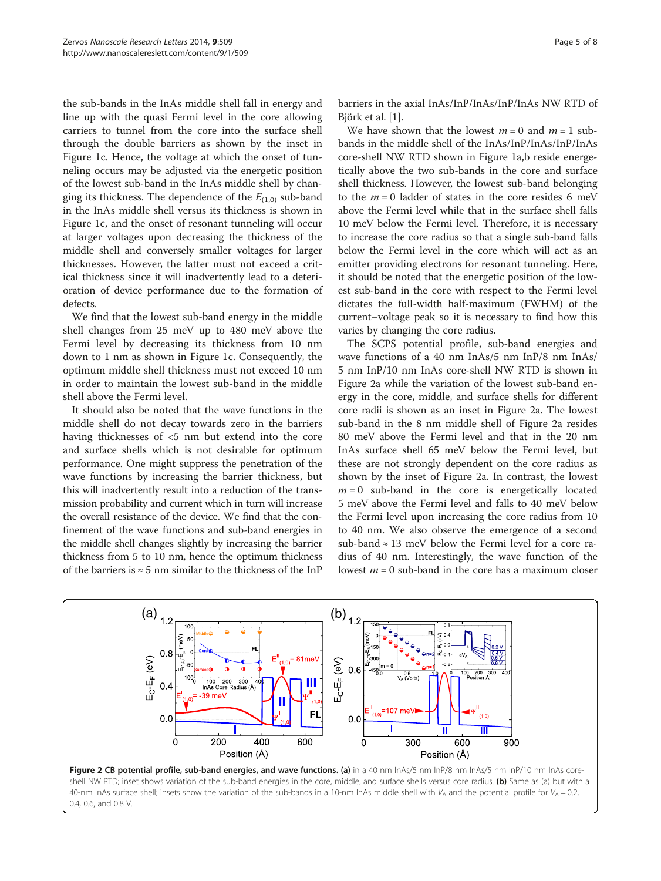<span id="page-4-0"></span>the sub-bands in the InAs middle shell fall in energy and line up with the quasi Fermi level in the core allowing carriers to tunnel from the core into the surface shell through the double barriers as shown by the inset in Figure [1c](#page-1-0). Hence, the voltage at which the onset of tunneling occurs may be adjusted via the energetic position of the lowest sub-band in the InAs middle shell by changing its thickness. The dependence of the  $E_{(1,0)}$  sub-band in the InAs middle shell versus its thickness is shown in Figure [1](#page-1-0)c, and the onset of resonant tunneling will occur at larger voltages upon decreasing the thickness of the middle shell and conversely smaller voltages for larger thicknesses. However, the latter must not exceed a critical thickness since it will inadvertently lead to a deterioration of device performance due to the formation of defects.

We find that the lowest sub-band energy in the middle shell changes from 25 meV up to 480 meV above the Fermi level by decreasing its thickness from 10 nm down to 1 nm as shown in Figure [1c](#page-1-0). Consequently, the optimum middle shell thickness must not exceed 10 nm in order to maintain the lowest sub-band in the middle shell above the Fermi level.

It should also be noted that the wave functions in the middle shell do not decay towards zero in the barriers having thicknesses of <5 nm but extend into the core and surface shells which is not desirable for optimum performance. One might suppress the penetration of the wave functions by increasing the barrier thickness, but this will inadvertently result into a reduction of the transmission probability and current which in turn will increase the overall resistance of the device. We find that the confinement of the wave functions and sub-band energies in the middle shell changes slightly by increasing the barrier thickness from 5 to 10 nm, hence the optimum thickness of the barriers is  $\approx$  5 nm similar to the thickness of the InP

barriers in the axial InAs/InP/InAs/InP/InAs NW RTD of Björk et al. [\[1](#page-7-0)].

We have shown that the lowest  $m = 0$  and  $m = 1$  subbands in the middle shell of the InAs/InP/InAs/InP/InAs core-shell NW RTD shown in Figure [1a](#page-1-0),b reside energetically above the two sub-bands in the core and surface shell thickness. However, the lowest sub-band belonging to the  $m = 0$  ladder of states in the core resides 6 meV above the Fermi level while that in the surface shell falls 10 meV below the Fermi level. Therefore, it is necessary to increase the core radius so that a single sub-band falls below the Fermi level in the core which will act as an emitter providing electrons for resonant tunneling. Here, it should be noted that the energetic position of the lowest sub-band in the core with respect to the Fermi level dictates the full-width half-maximum (FWHM) of the current–voltage peak so it is necessary to find how this varies by changing the core radius.

The SCPS potential profile, sub-band energies and wave functions of a 40 nm InAs/5 nm InP/8 nm InAs/ 5 nm InP/10 nm InAs core-shell NW RTD is shown in Figure 2a while the variation of the lowest sub-band energy in the core, middle, and surface shells for different core radii is shown as an inset in Figure 2a. The lowest sub-band in the 8 nm middle shell of Figure 2a resides 80 meV above the Fermi level and that in the 20 nm InAs surface shell 65 meV below the Fermi level, but these are not strongly dependent on the core radius as shown by the inset of Figure 2a. In contrast, the lowest  $m = 0$  sub-band in the core is energetically located 5 meV above the Fermi level and falls to 40 meV below the Fermi level upon increasing the core radius from 10 to 40 nm. We also observe the emergence of a second sub-band ≈ 13 meV below the Fermi level for a core radius of 40 nm. Interestingly, the wave function of the lowest  $m = 0$  sub-band in the core has a maximum closer



shell NW RTD; inset shows variation of the sub-band energies in the core, middle, and surface shells versus core radius. (b) Same as (a) but with a 40-nm InAs surface shell; insets show the variation of the sub-bands in a 10-nm InAs middle shell with  $V_A$  and the potential profile for  $V_A$  = 0.2, 0.4, 0.6, and 0.8 V.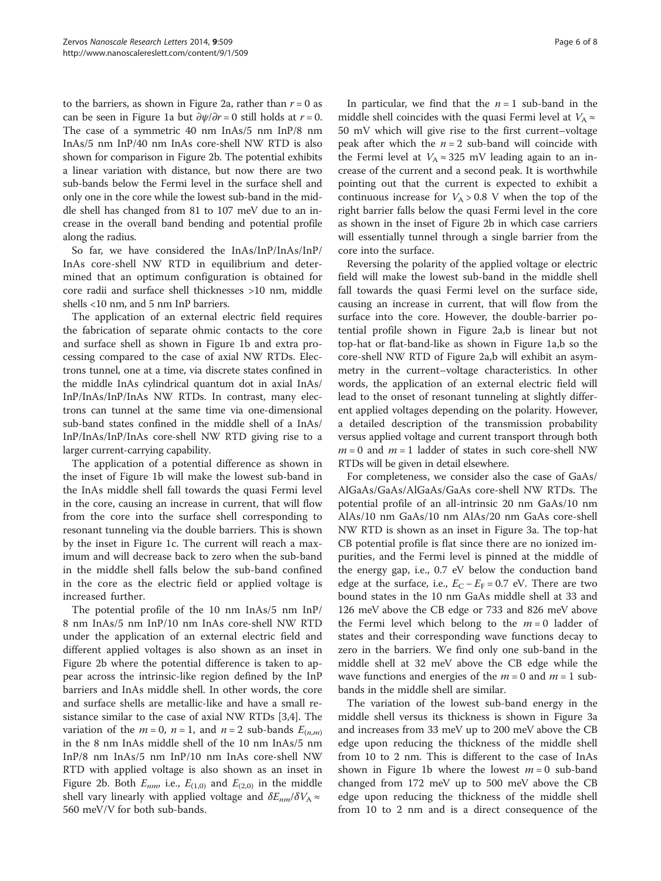to the barriers, as shown in Figure [2a](#page-4-0), rather than  $r = 0$  as can be seen in Figure [1a](#page-1-0) but  $\frac{\partial \psi}{\partial r} = 0$  still holds at  $r = 0$ . The case of a symmetric 40 nm InAs/5 nm InP/8 nm InAs/5 nm InP/40 nm InAs core-shell NW RTD is also shown for comparison in Figure [2b](#page-4-0). The potential exhibits a linear variation with distance, but now there are two sub-bands below the Fermi level in the surface shell and only one in the core while the lowest sub-band in the middle shell has changed from 81 to 107 meV due to an increase in the overall band bending and potential profile along the radius.

So far, we have considered the InAs/InP/InAs/InP/ InAs core-shell NW RTD in equilibrium and determined that an optimum configuration is obtained for core radii and surface shell thicknesses >10 nm, middle shells <10 nm, and 5 nm InP barriers.

The application of an external electric field requires the fabrication of separate ohmic contacts to the core and surface shell as shown in Figure [1](#page-1-0)b and extra processing compared to the case of axial NW RTDs. Electrons tunnel, one at a time, via discrete states confined in the middle InAs cylindrical quantum dot in axial InAs/ InP/InAs/InP/InAs NW RTDs. In contrast, many electrons can tunnel at the same time via one-dimensional sub-band states confined in the middle shell of a InAs/ InP/InAs/InP/InAs core-shell NW RTD giving rise to a larger current-carrying capability.

The application of a potential difference as shown in the inset of Figure [1](#page-1-0)b will make the lowest sub-band in the InAs middle shell fall towards the quasi Fermi level in the core, causing an increase in current, that will flow from the core into the surface shell corresponding to resonant tunneling via the double barriers. This is shown by the inset in Figure [1c](#page-1-0). The current will reach a maximum and will decrease back to zero when the sub-band in the middle shell falls below the sub-band confined in the core as the electric field or applied voltage is increased further.

The potential profile of the 10 nm InAs/5 nm InP/ 8 nm InAs/5 nm InP/10 nm InAs core-shell NW RTD under the application of an external electric field and different applied voltages is also shown as an inset in Figure [2](#page-4-0)b where the potential difference is taken to appear across the intrinsic-like region defined by the InP barriers and InAs middle shell. In other words, the core and surface shells are metallic-like and have a small resistance similar to the case of axial NW RTDs [[3,4\]](#page-7-0). The variation of the  $m = 0$ ,  $n = 1$ , and  $n = 2$  sub-bands  $E_{(n,m)}$ in the 8 nm InAs middle shell of the 10 nm InAs/5 nm InP/8 nm InAs/5 nm InP/10 nm InAs core-shell NW RTD with applied voltage is also shown as an inset in Figure [2b](#page-4-0). Both  $E_{nm}$ , i.e.,  $E_{(1,0)}$  and  $E_{(2,0)}$  in the middle shell vary linearly with applied voltage and  $\delta E_{nm}/\delta V_A \approx$ 560 meV/V for both sub-bands.

In particular, we find that the  $n = 1$  sub-band in the middle shell coincides with the quasi Fermi level at  $V_A \approx$ 50 mV which will give rise to the first current–voltage peak after which the  $n = 2$  sub-band will coincide with the Fermi level at  $V_A \approx 325$  mV leading again to an increase of the current and a second peak. It is worthwhile pointing out that the current is expected to exhibit a continuous increase for  $V_A > 0.8$  V when the top of the right barrier falls below the quasi Fermi level in the core as shown in the inset of Figure [2b](#page-4-0) in which case carriers will essentially tunnel through a single barrier from the core into the surface.

Reversing the polarity of the applied voltage or electric field will make the lowest sub-band in the middle shell fall towards the quasi Fermi level on the surface side, causing an increase in current, that will flow from the surface into the core. However, the double-barrier potential profile shown in Figure [2a](#page-4-0),b is linear but not top-hat or flat-band-like as shown in Figure [1](#page-1-0)a,b so the core-shell NW RTD of Figure [2a](#page-4-0),b will exhibit an asymmetry in the current–voltage characteristics. In other words, the application of an external electric field will lead to the onset of resonant tunneling at slightly different applied voltages depending on the polarity. However, a detailed description of the transmission probability versus applied voltage and current transport through both  $m = 0$  and  $m = 1$  ladder of states in such core-shell NW RTDs will be given in detail elsewhere.

For completeness, we consider also the case of GaAs/ AlGaAs/GaAs/AlGaAs/GaAs core-shell NW RTDs. The potential profile of an all-intrinsic 20 nm GaAs/10 nm AlAs/10 nm GaAs/10 nm AlAs/20 nm GaAs core-shell NW RTD is shown as an inset in Figure [3](#page-6-0)a. The top-hat CB potential profile is flat since there are no ionized impurities, and the Fermi level is pinned at the middle of the energy gap, i.e., 0.7 eV below the conduction band edge at the surface, i.e.,  $E_C - E_F = 0.7$  eV. There are two bound states in the 10 nm GaAs middle shell at 33 and 126 meV above the CB edge or 733 and 826 meV above the Fermi level which belong to the  $m = 0$  ladder of states and their corresponding wave functions decay to zero in the barriers. We find only one sub-band in the middle shell at 32 meV above the CB edge while the wave functions and energies of the  $m = 0$  and  $m = 1$  subbands in the middle shell are similar.

The variation of the lowest sub-band energy in the middle shell versus its thickness is shown in Figure [3](#page-6-0)a and increases from 33 meV up to 200 meV above the CB edge upon reducing the thickness of the middle shell from 10 to 2 nm. This is different to the case of InAs shown in Figure [1b](#page-1-0) where the lowest  $m = 0$  sub-band changed from 172 meV up to 500 meV above the CB edge upon reducing the thickness of the middle shell from 10 to 2 nm and is a direct consequence of the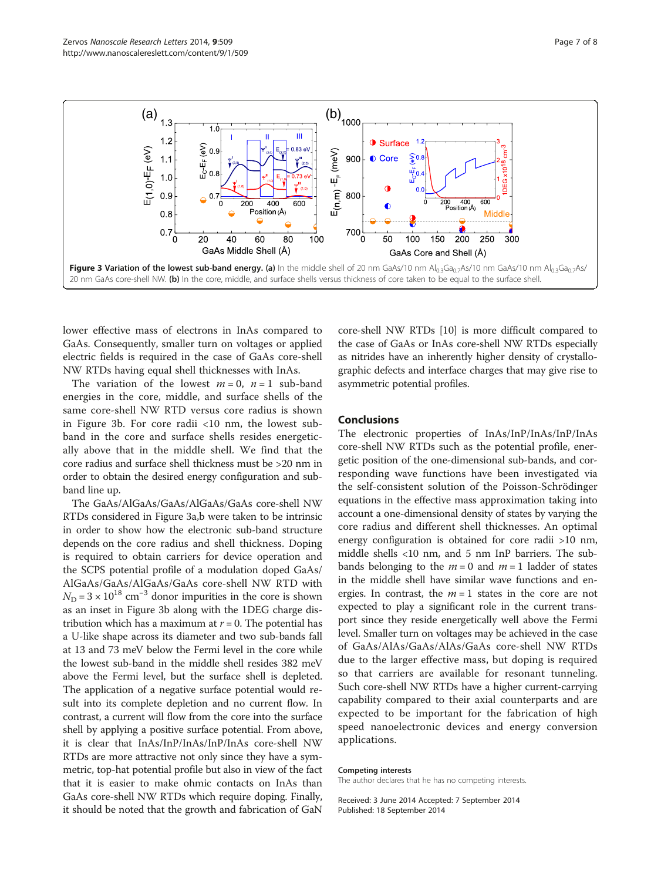<span id="page-6-0"></span>

lower effective mass of electrons in InAs compared to GaAs. Consequently, smaller turn on voltages or applied electric fields is required in the case of GaAs core-shell NW RTDs having equal shell thicknesses with InAs.

The variation of the lowest  $m = 0$ ,  $n = 1$  sub-band energies in the core, middle, and surface shells of the same core-shell NW RTD versus core radius is shown in Figure 3b. For core radii <10 nm, the lowest subband in the core and surface shells resides energetically above that in the middle shell. We find that the core radius and surface shell thickness must be >20 nm in order to obtain the desired energy configuration and subband line up.

The GaAs/AlGaAs/GaAs/AlGaAs/GaAs core-shell NW RTDs considered in Figure 3a,b were taken to be intrinsic in order to show how the electronic sub-band structure depends on the core radius and shell thickness. Doping is required to obtain carriers for device operation and the SCPS potential profile of a modulation doped GaAs/ AlGaAs/GaAs/AlGaAs/GaAs core-shell NW RTD with  $N_D = 3 \times 10^{18}$  cm<sup>-3</sup> donor impurities in the core is shown as an inset in Figure 3b along with the 1DEG charge distribution which has a maximum at  $r = 0$ . The potential has a U-like shape across its diameter and two sub-bands fall at 13 and 73 meV below the Fermi level in the core while the lowest sub-band in the middle shell resides 382 meV above the Fermi level, but the surface shell is depleted. The application of a negative surface potential would result into its complete depletion and no current flow. In contrast, a current will flow from the core into the surface shell by applying a positive surface potential. From above, it is clear that InAs/InP/InAs/InP/InAs core-shell NW RTDs are more attractive not only since they have a symmetric, top-hat potential profile but also in view of the fact that it is easier to make ohmic contacts on InAs than GaAs core-shell NW RTDs which require doping. Finally, it should be noted that the growth and fabrication of GaN

core-shell NW RTDs [\[10\]](#page-7-0) is more difficult compared to the case of GaAs or InAs core-shell NW RTDs especially as nitrides have an inherently higher density of crystallographic defects and interface charges that may give rise to asymmetric potential profiles.

#### Conclusions

The electronic properties of InAs/InP/InAs/InP/InAs core-shell NW RTDs such as the potential profile, energetic position of the one-dimensional sub-bands, and corresponding wave functions have been investigated via the self-consistent solution of the Poisson-Schrödinger equations in the effective mass approximation taking into account a one-dimensional density of states by varying the core radius and different shell thicknesses. An optimal energy configuration is obtained for core radii >10 nm, middle shells <10 nm, and 5 nm InP barriers. The subbands belonging to the  $m = 0$  and  $m = 1$  ladder of states in the middle shell have similar wave functions and energies. In contrast, the  $m = 1$  states in the core are not expected to play a significant role in the current transport since they reside energetically well above the Fermi level. Smaller turn on voltages may be achieved in the case of GaAs/AlAs/GaAs/AlAs/GaAs core-shell NW RTDs due to the larger effective mass, but doping is required so that carriers are available for resonant tunneling. Such core-shell NW RTDs have a higher current-carrying capability compared to their axial counterparts and are expected to be important for the fabrication of high speed nanoelectronic devices and energy conversion applications.

#### Competing interests

The author declares that he has no competing interests.

Received: 3 June 2014 Accepted: 7 September 2014 Published: 18 September 2014